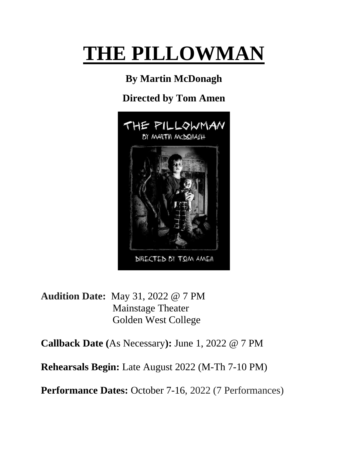# **THE PILLOWMAN**

# **By Martin McDonagh**

## **Directed by Tom Amen**



**Audition Date:** May 31, 2022 @ 7 PM Mainstage Theater Golden West College

**Callback Date (**As Necessary**):** June 1, 2022 @ 7 PM

**Rehearsals Begin:** Late August 2022 (M-Th 7-10 PM)

**Performance Dates:** October 7-16, 2022 (7 Performances)